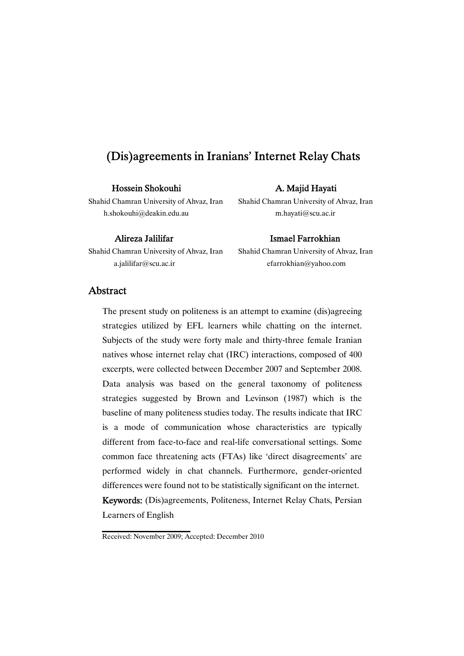# Hossein Shokouhi A. Majid Hayati

Shahid Chamran University of Ahvaz, Iran Shahid Chamran University of Ahvaz, Iran h.shokouhi@deakin.edu.au m.hayati@scu.ac.ir

Shahid Chamran University of Ahvaz, Iran Shahid Chamran University of Ahvaz, Iran a.jalilifar@scu.ac.ir efarrokhian@yahoo.com

### Alireza Jalilifar **Ismael Farrokhian**

# Abstract

The present study on politeness is an attempt to examine (dis)agreeing strategies utilized by EFL learners while chatting on the internet. Subjects of the study were forty male and thirty-three female Iranian natives whose internet relay chat (IRC) interactions, composed of 400 excerpts, were collected between December 2007 and September 2008. Data analysis was based on the general taxonomy of politeness strategies suggested by Brown and Levinson (1987) which is the baseline of many politeness studies today. The results indicate that IRC is a mode of communication whose characteristics are typically different from face-to-face and real-life conversational settings. Some common face threatening acts (FTAs) like 'direct disagreements' are performed widely in chat channels. Furthermore, gender-oriented differences were found not to be statistically significant on the internet. Keywords: (Dis)agreements, Politeness, Internet Relay Chats, Persian Learners of English

Received: November 2009; Accepted: December 2010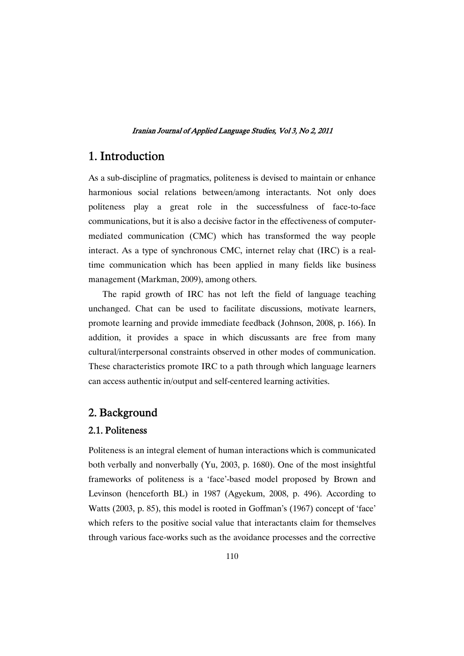# 1.Introduction

As a sub-discipline of pragmatics, politeness is devised to maintain or enhance harmonious social relations between/among interactants. Not only does politeness play a great role in the successfulness of face-to-face communications, but it is also a decisive factor in the effectiveness of computermediated communication (CMC) which has transformed the way people interact. As a type of synchronous CMC, internet relay chat (IRC) is a realtime communication which has been applied in many fields like business management (Markman, 2009), among others.

The rapid growth of IRC has not left the field of language teaching unchanged. Chat can be used to facilitate discussions, motivate learners, promote learning and provide immediate feedback (Johnson, 2008, p. 166). In addition, it provides a space in which discussants are free from many cultural/interpersonal constraints observed in other modes of communication. These characteristics promote IRC to a path through which language learners can access authentic in/output and self-centered learning activities.

# 2.Background

# 2.1.Politeness

Politeness is an integral element of human interactions which is communicated both verbally and nonverbally (Yu, 2003, p. 1680). One of the most insightful frameworks of politeness is a 'face'-based model proposed by Brown and Levinson (henceforth BL) in 1987 (Agyekum, 2008, p. 496). According to Watts (2003, p. 85), this model is rooted in Goffman's (1967) concept of 'face' which refers to the positive social value that interactants claim for themselves through various face-works such as the avoidance processes and the corrective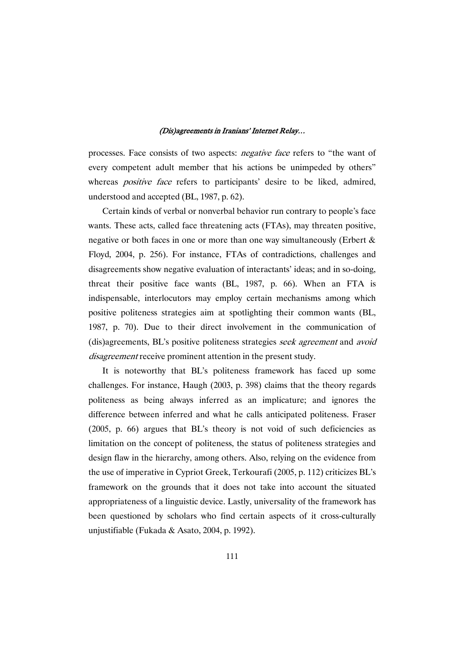processes. Face consists of two aspects: negative face refers to "the want of every competent adult member that his actions be unimpeded by others" whereas *positive face* refers to participants' desire to be liked, admired, understood and accepted (BL, 1987, p. 62).

Certain kinds of verbal or nonverbal behavior run contrary to people's face wants. These acts, called face threatening acts (FTAs), may threaten positive, negative or both faces in one or more than one way simultaneously (Erbert & Floyd, 2004, p. 256). For instance, FTAs of contradictions, challenges and disagreements show negative evaluation of interactants' ideas; and in so-doing, threat their positive face wants (BL, 1987, p. 66). When an FTA is indispensable, interlocutors may employ certain mechanisms among which positive politeness strategies aim at spotlighting their common wants (BL, 1987, p. 70). Due to their direct involvement in the communication of (dis)agreements, BL's positive politeness strategies seek agreement and avoid disagreement receive prominent attention in the present study.

It is noteworthy that BL's politeness framework has faced up some challenges. For instance, Haugh (2003, p. 398) claims that the theory regards politeness as being always inferred as an implicature; and ignores the difference between inferred and what he calls anticipated politeness. Fraser (2005, p. 66) argues that BL's theory is not void of such deficiencies as limitation on the concept of politeness, the status of politeness strategies and design flaw in the hierarchy, among others. Also, relying on the evidence from the use of imperative in Cypriot Greek, Terkourafi (2005, p. 112) criticizes BL's framework on the grounds that it does not take into account the situated appropriateness of a linguistic device. Lastly, universality of the framework has been questioned by scholars who find certain aspects of it cross-culturally unjustifiable (Fukada & Asato, 2004, p. 1992).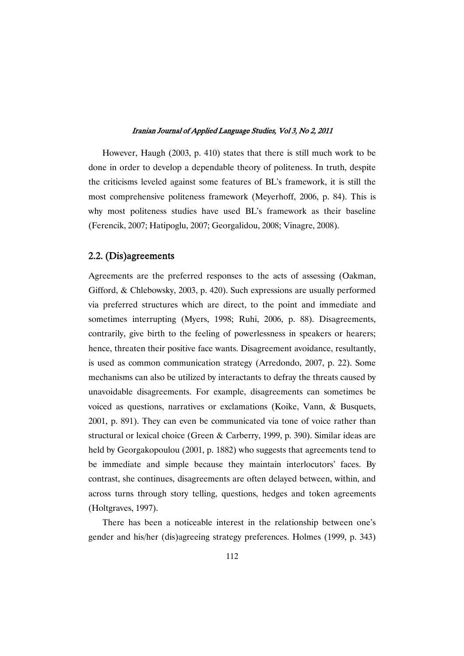However, Haugh (2003, p. 410) states that there is still much work to be done in order to develop a dependable theory of politeness. In truth, despite the criticisms leveled against some features of BL's framework, it is still the most comprehensive politeness framework (Meyerhoff, 2006, p. 84). This is why most politeness studies have used BL's framework as their baseline (Ferencik, 2007; Hatipoglu, 2007; Georgalidou, 2008; Vinagre, 2008).

# 2.2.(Dis)agreements

Agreements are the preferred responses to the acts of assessing (Oakman, Gifford, & Chlebowsky, 2003, p. 420). Such expressions are usually performed via preferred structures which are direct, to the point and immediate and sometimes interrupting (Myers, 1998; Ruhi, 2006, p. 88). Disagreements, contrarily, give birth to the feeling of powerlessness in speakers or hearers; hence, threaten their positive face wants. Disagreement avoidance, resultantly, is used as common communication strategy (Arredondo, 2007, p. 22). Some mechanisms can also be utilized by interactants to defray the threats caused by unavoidable disagreements. For example, disagreements can sometimes be voiced as questions, narratives or exclamations (Koike, Vann, & Busquets, 2001, p. 891). They can even be communicated via tone of voice rather than structural or lexical choice (Green & Carberry, 1999, p. 390). Similar ideas are held by Georgakopoulou (2001, p. 1882) who suggests that agreements tend to be immediate and simple because they maintain interlocutors' faces. By contrast, she continues, disagreements are often delayed between, within, and across turns through story telling, questions, hedges and token agreements (Holtgraves, 1997).

There has been a noticeable interest in the relationship between one's gender and his/her (dis)agreeing strategy preferences. Holmes (1999, p. 343)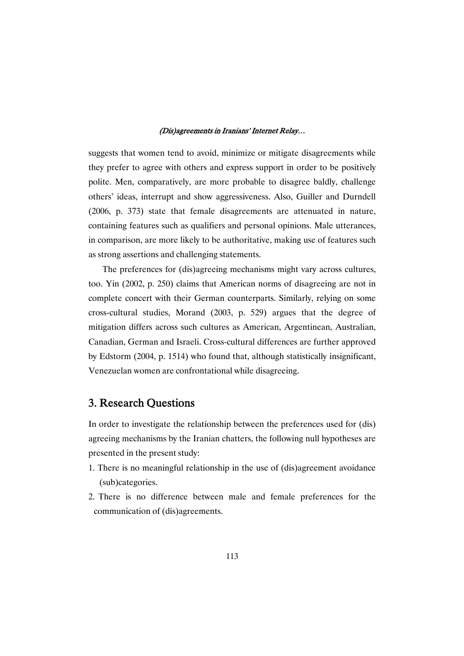suggests that women tend to avoid, minimize or mitigate disagreements while they prefer to agree with others and express support in order to be positively polite. Men, comparatively, are more probable to disagree baldly, challenge others' ideas, interrupt and show aggressiveness. Also, Guiller and Durndell (2006, p. 373) state that female disagreements are attenuated in nature, containing features such as qualifiers and personal opinions. Male utterances, in comparison, are more likely to be authoritative, making use of features such as strong assertions and challenging statements.

The preferences for (dis)agreeing mechanisms might vary across cultures, too. Yin (2002, p. 250) claims that American norms of disagreeing are not in complete concert with their German counterparts. Similarly, relying on some cross-cultural studies, Morand (2003, p. 529) argues that the degree of mitigation differs across such cultures as American, Argentinean, Australian, Canadian, German and Israeli. Cross-cultural differences are further approved by Edstorm (2004, p. 1514) who found that, although statistically insignificant, Venezuelan women are confrontational while disagreeing.

# 3. Research Questions

In order to investigate the relationship between the preferences used for (dis) agreeing mechanisms by the Iranian chatters, the following null hypotheses are presented in the present study:

- 1. There is no meaningful relationship in the use of (dis)agreement avoidance (sub)categories.
- 2. There is no difference between male and female preferences for the communication of (dis)agreements.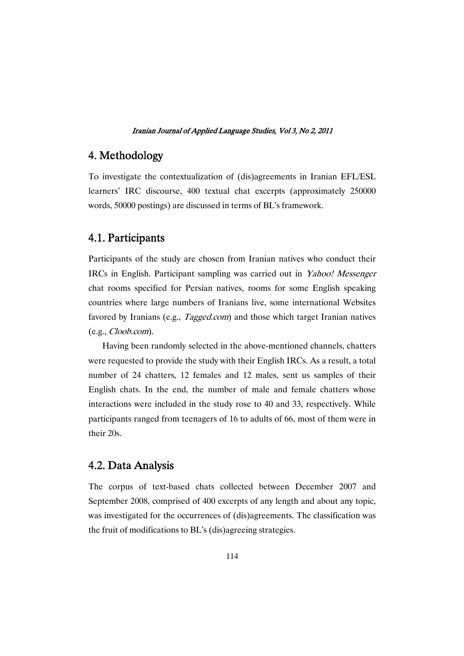# 4.Methodology

To investigate the contextualization of (dis)agreements in Iranian EFL/ESL learners' IRC discourse, 400 textual chat excerpts (approximately 250000 words, 50000 postings) are discussed in terms of BL's framework.

# 4.1.Participants

Participants of the study are chosen from Iranian natives who conduct their IRCs in English. Participant sampling was carried out in Yahoo! Messenger chat rooms specified for Persian natives, rooms for some English speaking countries where large numbers of Iranians live, some international Websites favored by Iranians (e.g., *Tagged.com*) and those which target Iranian natives (e.g., Cloob.com).

Having been randomly selected in the above-mentioned channels, chatters were requested to provide the study with their English IRCs. As a result, a total number of 24 chatters, 12 females and 12 males, sent us samples of their English chats. In the end, the number of male and female chatters whose interactions were included in the study rose to 40 and 33, respectively. While participants ranged from teenagers of 16 to adults of 66, most of them were in their 20s.

# 4.2. Data Analysis

The corpus of text-based chats collected between December 2007 and September 2008, comprised of 400 excerpts of any length and about any topic, was investigated for the occurrences of (dis)agreements. The classification was the fruit of modifications to BL's (dis)agreeing strategies.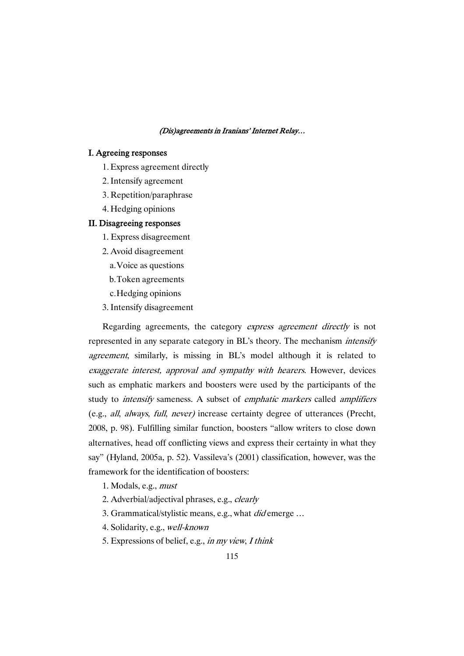### I. Agreeing responses

- 1.Express agreement directly
- 2.Intensify agreement
- 3. Repetition/paraphrase
- 4. Hedging opinions

### II. Disagreeing responses

- 1. Express disagreement
- 2. Avoid disagreement
	- a.Voice as questions
	- b.Token agreements
	- c.Hedging opinions
- 3. Intensify disagreement

Regarding agreements, the category express agreement directly is not represented in any separate category in BL's theory. The mechanism intensify agreement, similarly, is missing in BL's model although it is related to exaggerate interest, approval and sympathy with hearers. However, devices such as emphatic markers and boosters were used by the participants of the study to *intensify* sameness. A subset of *emphatic markers* called *amplifiers* (e.g., all, always, full, never) increase certainty degree of utterances (Precht, 2008, p. 98). Fulfilling similar function, boosters "allow writers to close down alternatives, head off conflicting views and express their certainty in what they say" (Hyland, 2005a, p. 52). Vassileva's (2001) classification, however, was the framework for the identification of boosters:

1. Modals, e.g., must

- 2. Adverbial/adjectival phrases, e.g., *clearly*
- 3. Grammatical/stylistic means, e.g., what *did* emerge ...
- 4. Solidarity, e.g., well-known
- 5. Expressions of belief, e.g., in my view, <sup>I</sup> think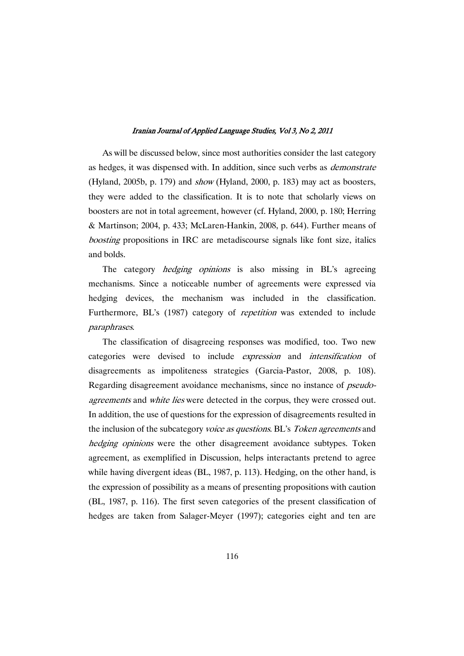As will be discussed below, since most authorities consider the last category as hedges, it was dispensed with. In addition, since such verbs as demonstrate (Hyland, 2005b, p. 179) and show (Hyland, 2000, p. 183) may act as boosters, they were added to the classification. It is to note that scholarly views on boosters are not in total agreement, however (cf. Hyland, 2000, p. 180; Herring & Martinson; 2004, p. 433; McLaren-Hankin, 2008, p. 644). Further means of boosting propositions in IRC are metadiscourse signals like font size, italics and bolds.

The category *hedging opinions* is also missing in BL's agreeing mechanisms. Since a noticeable number of agreements were expressed via hedging devices, the mechanism was included in the classification. Furthermore, BL's (1987) category of *repetition* was extended to include paraphrases.

The classification of disagreeing responses was modified, too. Two new categories were devised to include expression and intensification of disagreements as impoliteness strategies (Garcia-Pastor, 2008, p. 108). Regarding disagreement avoidance mechanisms, since no instance of pseudoagreements and white lies were detected in the corpus, they were crossed out. In addition, the use of questions for the expression of disagreements resulted in the inclusion of the subcategory voice as questions. BL's Token agreements and hedging opinions were the other disagreement avoidance subtypes. Token agreement, as exemplified in Discussion, helps interactants pretend to agree while having divergent ideas (BL, 1987, p. 113). Hedging, on the other hand, is the expression of possibility as a means of presenting propositions with caution (BL, 1987, p. 116). The first seven categories of the present classification of hedges are taken from Salager-Meyer (1997); categories eight and ten are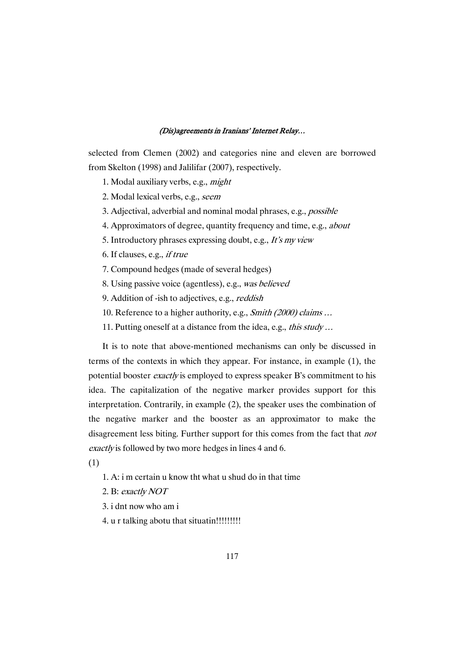selected from Clemen (2002) and categories nine and eleven are borrowed from Skelton (1998) and Jalilifar (2007), respectively.

1. Modal auxiliary verbs, e.g., might

2. Modal lexical verbs, e.g., seem

3. Adjectival, adverbial and nominal modal phrases, e.g., possible

- 4. Approximators of degree, quantity frequency and time, e.g., *about*
- 5. Introductory phrases expressing doubt, e.g., It's my view
- 6. If clauses, e.g., if true
- 7. Compound hedges (made of several hedges)
- 8. Using passive voice (agentless), e.g., was believed
- 9. Addition of -ish to adjectives, e.g., *reddish*
- 10. Reference to a higher authority, e.g., Smith (2000) claims …
- 11. Putting oneself at a distance from the idea, e.g., this study ...

It is to note that above-mentioned mechanisms can only be discussed in terms of the contexts in which they appear. For instance, in example (1), the potential booster exactly is employed to express speaker B's commitment to his idea. The capitalization of the negative marker provides support for this interpretation. Contrarily, in example (2), the speaker uses the combination of the negative marker and the booster as an approximator to make the disagreement less biting. Further support for this comes from the fact that not exactly is followed by two more hedges in lines 4 and 6.

(1)

- 1. A: i m certain u know tht what u shud do in that time
- 2. B: exactly NOT
- 3. i dnt now who am i
- 4. u r talking abotu that situatin!!!!!!!!!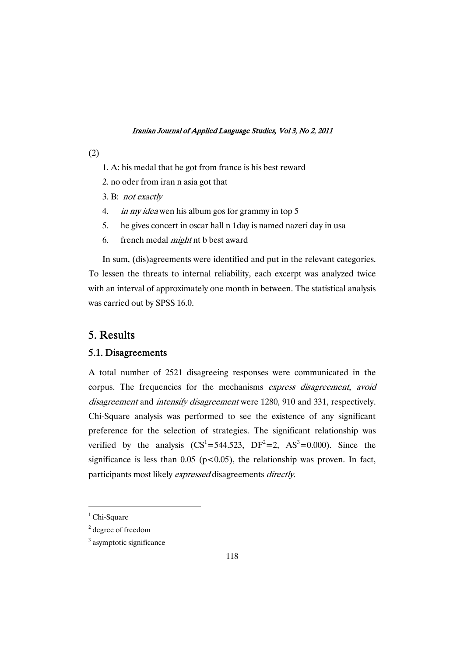- (2)
- 1. A: his medal that he got from france is his best reward
- 2. no oder from iran n asia got that
- 3. B: not exactly
- 4. *in my idea* wen his album gos for grammy in top 5
- 5. he gives concert in oscar hall n 1day is named nazeri day in usa
- 6. french medal might nt b best award

In sum, (dis)agreements were identified and put in the relevant categories. To lessen the threats to internal reliability, each excerpt was analyzed twice with an interval of approximately one month in between. The statistical analysis was carried out by SPSS 16.0.

# 5.Results

### 5.1.Disagreements

A total number of 2521 disagreeing responses were communicated in the corpus. The frequencies for the mechanisms express disagreement, avoid disagreement and intensify disagreement were 1280, 910 and 331, respectively. Chi-Square analysis was performed to see the existence of any significant preference for the selection of strategies. The significant relationship was verified by the analysis  $(CS^1 = 544.523, DF^2 = 2, AS^3 = 0.000)$ . Since the significance is less than  $0.05$  (p<0.05), the relationship was proven. In fact, participants most likely expressed disagreements directly.

 $1$  Chi-Square

<sup>2</sup> degree of freedom

<sup>&</sup>lt;sup>3</sup> asymptotic significance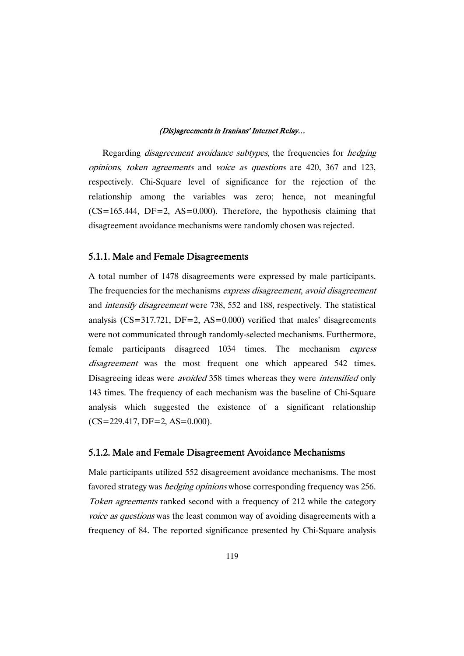Regarding *disagreement avoidance subtypes*, the frequencies for *hedging* opinions, token agreements and voice as questions are 420, 367 and 123, respectively. Chi-Square level of significance for the rejection of the relationship among the variables was zero; hence, not meaningful  $(CS=165.444, DF=2, AS=0.000)$ . Therefore, the hypothesis claiming that disagreement avoidance mechanisms were randomly chosen was rejected.

### 5.1.1. Male and Female Disagreements

A total number of 1478 disagreements were expressed by male participants. The frequencies for the mechanisms express disagreement, avoid disagreement and intensify disagreement were 738, 552 and 188, respectively. The statistical analysis  $(CS=317.721, DF=2, AS=0.000)$  verified that males' disagreements were not communicated through randomly-selected mechanisms. Furthermore, female participants disagreed 1034 times. The mechanism express disagreement was the most frequent one which appeared 542 times. Disagreeing ideas were *avoided* 358 times whereas they were *intensified* only 143 times. The frequency of each mechanism was the baseline of Chi-Square analysis which suggested the existence of a significant relationship (CS=229.417, DF=2, AS=0.000).

### 5.1.2. Male and Female Disagreement Avoidance Mechanisms

Male participants utilized 552 disagreement avoidance mechanisms. The most favored strategy was *hedging opinions* whose corresponding frequency was 256. Token agreements ranked second with a frequency of 212 while the category voice as questions was the least common way of avoiding disagreements with a frequency of 84. The reported significance presented by Chi-Square analysis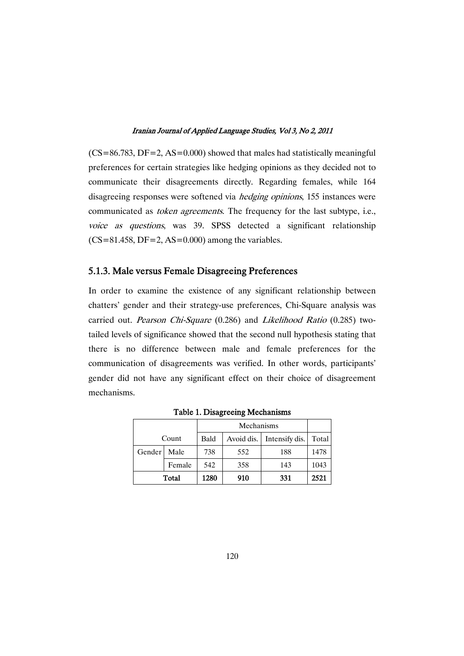$(CS=86.783, DF=2, AS=0.000)$  showed that males had statistically meaningful preferences for certain strategies like hedging opinions as they decided not to communicate their disagreements directly. Regarding females, while 164 disagreeing responses were softened via *hedging opinions*, 155 instances were communicated as *token agreements*. The frequency for the last subtype, i.e., voice as questions, was 39. SPSS detected a significant relationship  $(CS=81.458, DF=2, AS=0.000)$  among the variables.

# 5.1.3. Male versus Female Disagreeing Preferences

In order to examine the existence of any significant relationship between chatters' gender and their strategy-use preferences, Chi-Square analysis was carried out. Pearson Chi-Square (0.286) and Likelihood Ratio (0.285) twotailed levels of significance showed that the second null hypothesis stating that there is no difference between male and female preferences for the communication of disagreements was verified. In other words, participants' gender did not have any significant effect on their choice of disagreement mechanisms.

| Count  |        | Bald | Avoid dis. | Intensify dis. | Total |
|--------|--------|------|------------|----------------|-------|
| Gender | Male   | 738  | 552        | 188            | 1478  |
|        | Female | 542  | 358        | 143            | 1043  |
| Total  |        | 1280 | 910        | 331            | 2521  |

Table 1. Disagreeing Mechanisms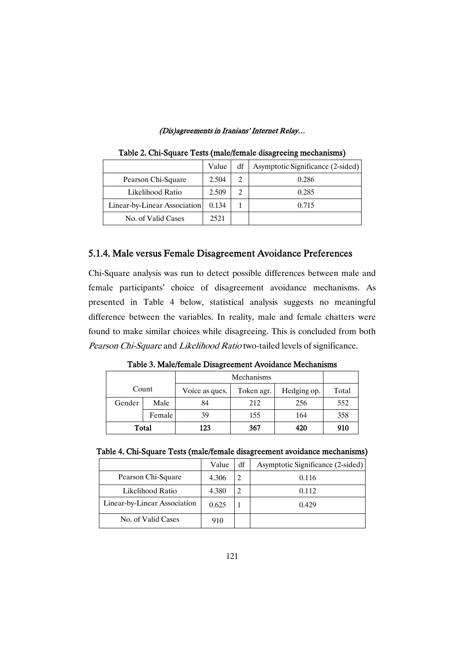|                              | Value | df | Asymptotic Significance (2-sided) |
|------------------------------|-------|----|-----------------------------------|
| Pearson Chi-Square           | 2.504 | 2  | 0.286                             |
| Likelihood Ratio             | 2.509 | 2  | 0.285                             |
| Linear-by-Linear Association | 0.134 |    | 0.715                             |
| No. of Valid Cases           | 2521  |    |                                   |

Table 2. Chi-Square Tests (male/female disagreeing mechanisms)

# 5.1.4. Male versus Female Disagreement Avoidance Preferences

Chi-Square analysis was run to detect possible differences between male and female participants' choice of disagreement avoidance mechanisms. As presented in Table 4 below, statistical analysis suggests no meaningful difference between the variables. In reality, male and female chatters were found to make similar choices while disagreeing. This is concluded from both Pearson Chi-Square and Likelihood Ratio two-tailed levels of significance.

| Table 3. Male/female Disagreement Avoidance Mechanisms |
|--------------------------------------------------------|
|--------------------------------------------------------|

| Count  |        | Voice as ques. | Token agr. | Hedging op. | Total |
|--------|--------|----------------|------------|-------------|-------|
| Gender | Male   |                | 212        | 256         | 552   |
|        | Female | 39             | 155        | 164         | 358   |
| Total  |        | 123            | 367        | 420         | 910   |

|  | Table 4. Chi-Square Tests (male/female disagreement avoidance mechanisms) |  |
|--|---------------------------------------------------------------------------|--|
|  |                                                                           |  |
|  |                                                                           |  |

|                              | Value | df | Asymptotic Significance (2-sided) |
|------------------------------|-------|----|-----------------------------------|
| Pearson Chi-Square           | 4.306 | 2  | 0.116                             |
| Likelihood Ratio             | 4.380 |    | 0.112                             |
| Linear-by-Linear Association | 0.625 |    | 0.429                             |
| No. of Valid Cases           | 910   |    |                                   |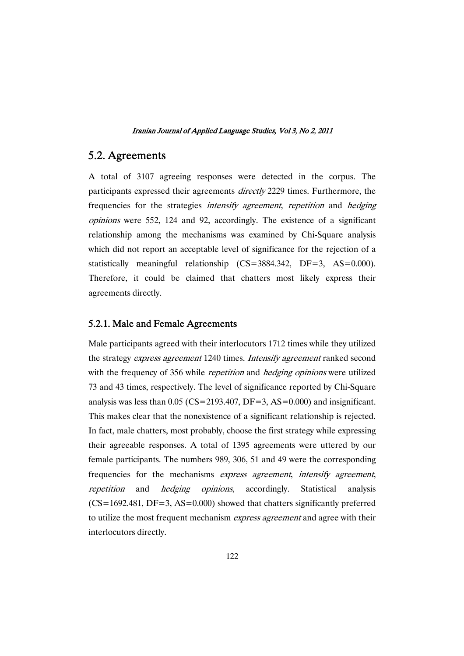# 5.2.Agreements

A total of 3107 agreeing responses were detected in the corpus. The participants expressed their agreements directly 2229 times. Furthermore, the frequencies for the strategies *intensify agreement*, *repetition* and *hedging* opinions were 552, 124 and 92, accordingly. The existence of a significant relationship among the mechanisms was examined by Chi-Square analysis which did not report an acceptable level of significance for the rejection of a statistically meaningful relationship (CS=3884.342, DF=3, AS=0.000). Therefore, it could be claimed that chatters most likely express their agreements directly.

# 5.2.1. Male and Female Agreements

Male participants agreed with their interlocutors 1712 times while they utilized the strategy express agreement 1240 times. Intensify agreement ranked second with the frequency of 356 while *repetition* and *hedging opinions* were utilized 73 and 43 times, respectively. The level of significance reported by Chi-Square analysis was less than  $0.05$  (CS=2193.407, DF=3, AS=0.000) and insignificant. This makes clear that the nonexistence of a significant relationship is rejected. In fact, male chatters, most probably, choose the first strategy while expressing their agreeable responses. A total of 1395 agreements were uttered by our female participants. The numbers 989, 306, 51 and 49 were the corresponding frequencies for the mechanisms express agreement, intensify agreement, repetition and hedging opinions, accordingly. Statistical analysis  $(CS=1692.481, DF=3, AS=0.000)$  showed that chatters significantly preferred to utilize the most frequent mechanism *express agreement* and agree with their interlocutors directly.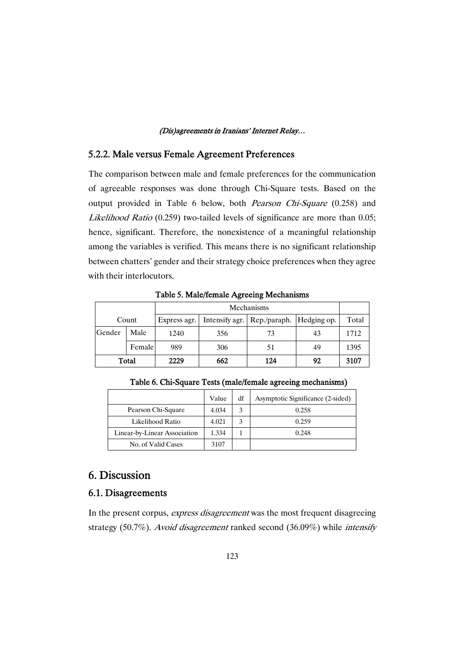# 5.2.2. Male versus Female Agreement Preferences

The comparison between male and female preferences for the communication of agreeable responses was done through Chi-Square tests. Based on the output provided in Table 6 below, both *Pearson Chi-Square* (0.258) and Likelihood Ratio (0.259) two-tailed levels of significance are more than 0.05; hence, significant. Therefore, the nonexistence of a meaningful relationship among the variables is verified. This means there is no significant relationship between chatters' gender and their strategy choice preferences when they agree with their interlocutors.

| Tuble 3: March Tennare I is come inconditions |            |              |     |                                             |    |       |
|-----------------------------------------------|------------|--------------|-----|---------------------------------------------|----|-------|
|                                               | Mechanisms |              |     |                                             |    |       |
| Count                                         |            | Express agr. |     | Intensify agr.   Rep./paraph.   Hedging op. |    | Total |
| Gender                                        | Male       | 1240         | 356 | 73                                          | 43 | 1712  |
|                                               | Female     | 989          | 306 | 51                                          | 49 | 1395  |
| Total                                         |            | 2229         | 662 | 124                                         | 92 | 3107  |

Table 5. Male/female Agreeing Mechanisms

|                              | Value | df | Asymptotic Significance (2-sided) |
|------------------------------|-------|----|-----------------------------------|
| Pearson Chi-Square           | 4.034 |    | 0.258                             |
| Likelihood Ratio             | 4.021 | 3  | 0.259                             |
| Linear-by-Linear Association | 1.334 |    | 0.248                             |
| No. of Valid Cases           | 3107  |    |                                   |

Table 6. Chi-Square Tests (male/female agreeing mechanisms)

# 6.Discussion

# 6.1.Disagreements

In the present corpus, *express disagreement* was the most frequent disagreeing strategy (50.7%). Avoid disagreement ranked second (36.09%) while intensify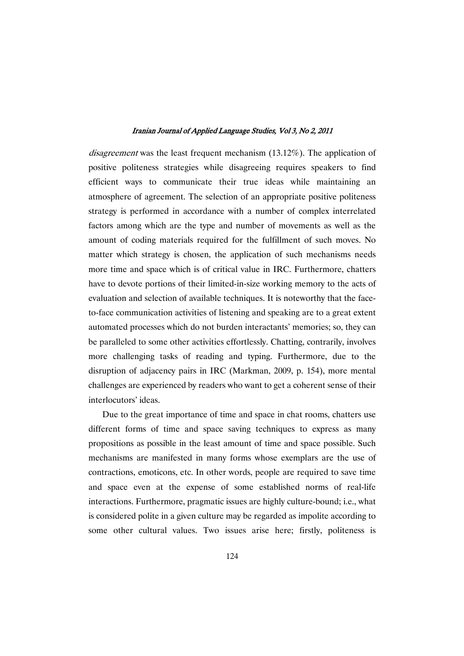disagreement was the least frequent mechanism (13.12%). The application of positive politeness strategies while disagreeing requires speakers to find efficient ways to communicate their true ideas while maintaining an atmosphere of agreement. The selection of an appropriate positive politeness strategy is performed in accordance with a number of complex interrelated factors among which are the type and number of movements as well as the amount of coding materials required for the fulfillment of such moves. No matter which strategy is chosen, the application of such mechanisms needs more time and space which is of critical value in IRC. Furthermore, chatters have to devote portions of their limited-in-size working memory to the acts of evaluation and selection of available techniques. It is noteworthy that the faceto-face communication activities of listening and speaking are to a great extent automated processes which do not burden interactants' memories; so, they can be paralleled to some other activities effortlessly. Chatting, contrarily, involves more challenging tasks of reading and typing. Furthermore, due to the disruption of adjacency pairs in IRC (Markman, 2009, p. 154), more mental challenges are experienced by readers who want to get a coherent sense of their interlocutors' ideas.

Due to the great importance of time and space in chat rooms, chatters use different forms of time and space saving techniques to express as many propositions as possible in the least amount of time and space possible. Such mechanisms are manifested in many forms whose exemplars are the use of contractions, emoticons, etc. In other words, people are required to save time and space even at the expense of some established norms of real-life interactions. Furthermore, pragmatic issues are highly culture-bound; i.e., what is considered polite in a given culture may be regarded as impolite according to some other cultural values. Two issues arise here; firstly, politeness is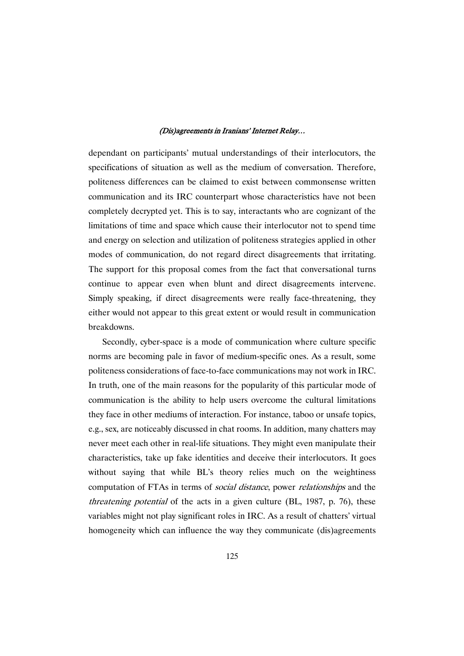dependant on participants' mutual understandings of their interlocutors, the specifications of situation as well as the medium of conversation. Therefore, politeness differences can be claimed to exist between commonsense written communication and its IRC counterpart whose characteristics have not been completely decrypted yet. This is to say, interactants who are cognizant of the limitations of time and space which cause their interlocutor not to spend time and energy on selection and utilization of politeness strategies applied in other modes of communication, do not regard direct disagreements that irritating. The support for this proposal comes from the fact that conversational turns continue to appear even when blunt and direct disagreements intervene. Simply speaking, if direct disagreements were really face-threatening, they either would not appear to this great extent or would result in communication breakdowns.

Secondly, cyber-space is a mode of communication where culture specific norms are becoming pale in favor of medium-specific ones. As a result, some politeness considerations of face-to-face communications may not work in IRC. In truth, one of the main reasons for the popularity of this particular mode of communication is the ability to help users overcome the cultural limitations they face in other mediums of interaction. For instance, taboo or unsafe topics, e.g., sex, are noticeably discussed in chat rooms. In addition, many chatters may never meet each other in real-life situations. They might even manipulate their characteristics, take up fake identities and deceive their interlocutors. It goes without saying that while BL's theory relies much on the weightiness computation of FTAs in terms of *social distance*, power *relationships* and the threatening potential of the acts in a given culture (BL, 1987, p. 76), these variables might not play significant roles in IRC. As a result of chatters' virtual homogeneity which can influence the way they communicate (dis)agreements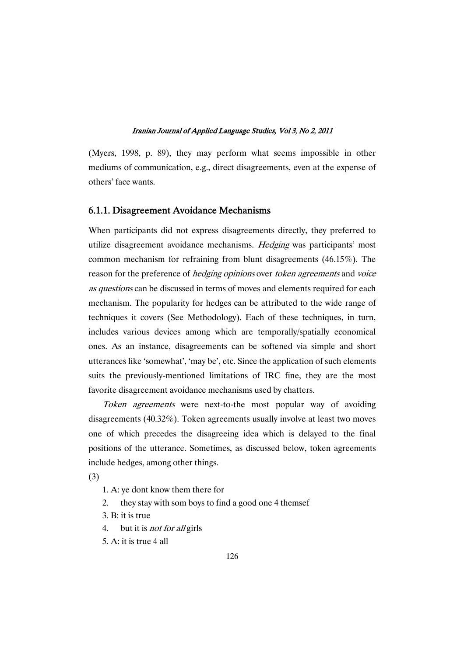(Myers, 1998, p. 89), they may perform what seems impossible in other mediums of communication, e.g., direct disagreements, even at the expense of others' face wants.

### 6.1.1. Disagreement Avoidance Mechanisms

When participants did not express disagreements directly, they preferred to utilize disagreement avoidance mechanisms. *Hedging* was participants' most common mechanism for refraining from blunt disagreements (46.15%). The reason for the preference of *hedging opinions* over *token agreements* and *voice* as questions can be discussed in terms of moves and elements required for each mechanism. The popularity for hedges can be attributed to the wide range of techniques it covers (See Methodology). Each of these techniques, in turn, includes various devices among which are temporally/spatially economical ones. As an instance, disagreements can be softened via simple and short utterances like 'somewhat', 'may be', etc. Since the application of such elements suits the previously-mentioned limitations of IRC fine, they are the most favorite disagreement avoidance mechanisms used by chatters.

Token agreements were next-to-the most popular way of avoiding disagreements (40.32%). Token agreements usually involve at least two moves one of which precedes the disagreeing idea which is delayed to the final positions of the utterance. Sometimes, as discussed below, token agreements include hedges, among other things.

(3)

- 1. A: ye dont know them there for
- 2. they stay with som boys to find a good one 4 themsef
- 3. B: it is true
- 4. but it is *not for all* girls
- 5. A: it is true 4 all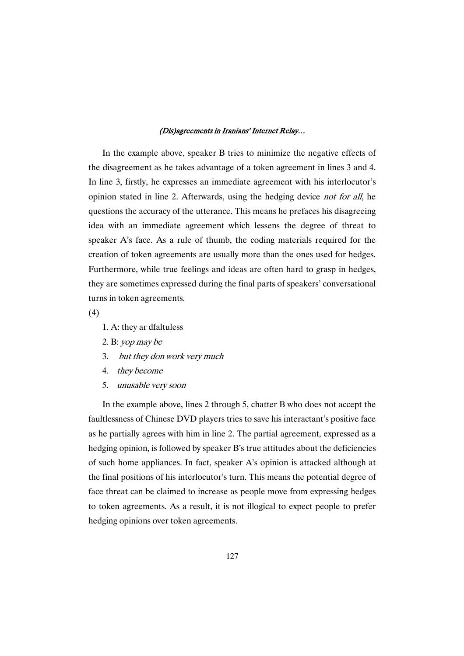In the example above, speaker B tries to minimize the negative effects of the disagreement as he takes advantage of a token agreement in lines 3 and 4. In line 3, firstly, he expresses an immediate agreement with his interlocutor's opinion stated in line 2. Afterwards, using the hedging device not for all, he questions the accuracy of the utterance. This means he prefaces his disagreeing idea with an immediate agreement which lessens the degree of threat to speaker A's face. As a rule of thumb, the coding materials required for the creation of token agreements are usually more than the ones used for hedges. Furthermore, while true feelings and ideas are often hard to grasp in hedges, they are sometimes expressed during the final parts of speakers' conversational turns in token agreements.

(4)

- 1. A: they ar dfaltuless
- 2. B: yop may be
- 3. but they don work very much
- 4. they become
- 5. unusable very soon

In the example above, lines 2 through 5, chatter B who does not accept the faultlessness of Chinese DVD players tries to save his interactant's positive face as he partially agrees with him in line 2. The partial agreement, expressed as a hedging opinion, is followed by speaker B's true attitudes about the deficiencies of such home appliances. In fact, speaker A's opinion is attacked although at the final positions of his interlocutor's turn. This means the potential degree of face threat can be claimed to increase as people move from expressing hedges to token agreements. As a result, it is not illogical to expect people to prefer hedging opinions over token agreements.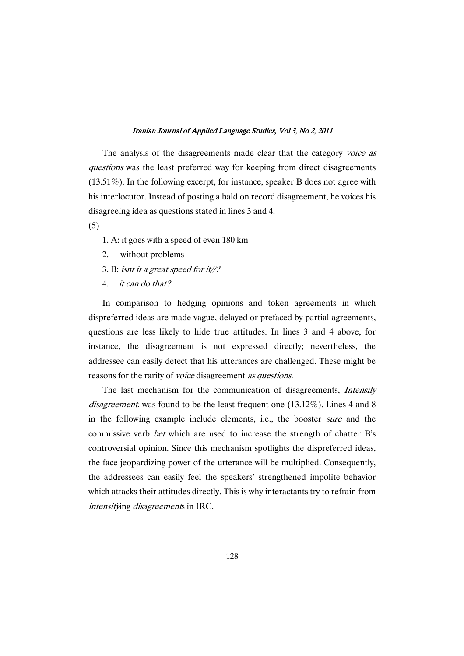The analysis of the disagreements made clear that the category voice as questions was the least preferred way for keeping from direct disagreements (13.51%). In the following excerpt, for instance, speaker B does not agree with his interlocutor. Instead of posting a bald on record disagreement, he voices his disagreeing idea as questions stated in lines 3 and 4.

(5)

- 1. A: it goes with a speed of even 180 km
- 2. without problems
- 3. B: isnt it <sup>a</sup> great speed for it//?
- 4. it can do that?

In comparison to hedging opinions and token agreements in which dispreferred ideas are made vague, delayed or prefaced by partial agreements, questions are less likely to hide true attitudes. In lines 3 and 4 above, for instance, the disagreement is not expressed directly; nevertheless, the addressee can easily detect that his utterances are challenged. These might be reasons for the rarity of *voice* disagreement *as questions*.

The last mechanism for the communication of disagreements, Intensify disagreement, was found to be the least frequent one (13.12%). Lines 4 and 8 in the following example include elements, i.e., the booster sure and the commissive verb bet which are used to increase the strength of chatter B's controversial opinion. Since this mechanism spotlights the dispreferred ideas, the face jeopardizing power of the utterance will be multiplied. Consequently, the addressees can easily feel the speakers' strengthened impolite behavior which attacks their attitudes directly. This is why interactants try to refrain from intensifying disagreements in IRC.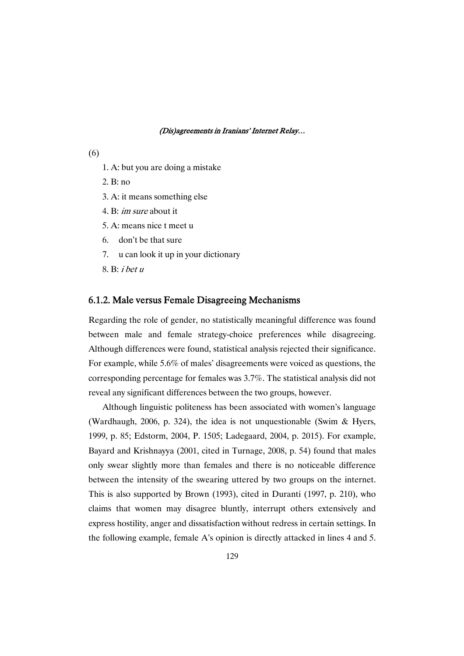- (6)
- 1. A: but you are doing a mistake
- 2. B: no
- 3. A: it means something else
- 4. B: im sure about it
- 5. A: means nice t meet u
- 6. don't be that sure
- 7. u can look it up in your dictionary
- 8. B: <sup>i</sup> bet <sup>u</sup>

### 6.1.2. Male versus Female Disagreeing Mechanisms

Regarding the role of gender, no statistically meaningful difference was found between male and female strategy-choice preferences while disagreeing. Although differences were found, statistical analysis rejected their significance. For example, while 5.6% of males' disagreements were voiced as questions, the corresponding percentage for females was 3.7%. The statistical analysis did not reveal any significant differences between the two groups, however.

Although linguistic politeness has been associated with women's language (Wardhaugh, 2006, p. 324), the idea is not unquestionable (Swim & Hyers, 1999, p. 85; Edstorm, 2004, P. 1505; Ladegaard, 2004, p. 2015). For example, Bayard and Krishnayya (2001, cited in Turnage, 2008, p. 54) found that males only swear slightly more than females and there is no noticeable difference between the intensity of the swearing uttered by two groups on the internet. This is also supported by Brown (1993), cited in Duranti (1997, p. 210), who claims that women may disagree bluntly, interrupt others extensively and express hostility, anger and dissatisfaction without redress in certain settings. In the following example, female A's opinion is directly attacked in lines 4 and 5.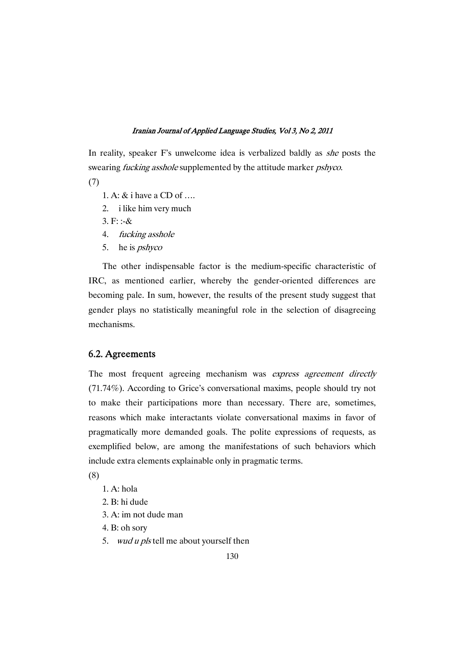In reality, speaker F's unwelcome idea is verbalized baldly as *she* posts the swearing *fucking asshole* supplemented by the attitude marker *pshyco*.

(7)

- 1. A: & i have a CD of ….
- 2. i like him very much
- 3.  $F: -\&$
- 4. fucking asshole
- 5. he is *pshyco*

The other indispensable factor is the medium-specific characteristic of IRC, as mentioned earlier, whereby the gender-oriented differences are becoming pale. In sum, however, the results of the present study suggest that gender plays no statistically meaningful role in the selection of disagreeing mechanisms.

# 6.2.Agreements

The most frequent agreeing mechanism was express agreement directly (71.74%). According to Grice's conversational maxims, people should try not to make their participations more than necessary. There are, sometimes, reasons which make interactants violate conversational maxims in favor of pragmatically more demanded goals. The polite expressions of requests, as exemplified below, are among the manifestations of such behaviors which include extra elements explainable only in pragmatic terms.

(8)

- 1. A: hola
- 2. B: hi dude
- 3. A: im not dude man
- 4. B: oh sory
- 5. wud u pls tell me about yourself then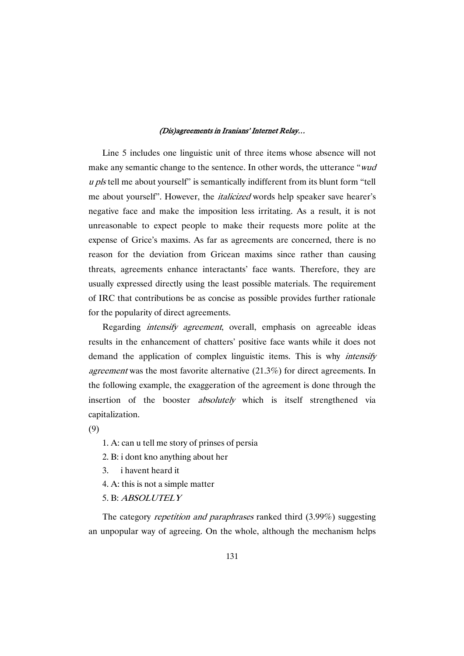Line 5 includes one linguistic unit of three items whose absence will not make any semantic change to the sentence. In other words, the utterance "wud u pls tell me about yourself" is semantically indifferent from its blunt form "tell me about yourself". However, the italicized words help speaker save hearer's negative face and make the imposition less irritating. As a result, it is not unreasonable to expect people to make their requests more polite at the expense of Grice's maxims. As far as agreements are concerned, there is no reason for the deviation from Gricean maxims since rather than causing threats, agreements enhance interactants' face wants. Therefore, they are usually expressed directly using the least possible materials. The requirement of IRC that contributions be as concise as possible provides further rationale for the popularity of direct agreements.

Regarding *intensify agreement*, overall, emphasis on agreeable ideas results in the enhancement of chatters' positive face wants while it does not demand the application of complex linguistic items. This is why intensify agreement was the most favorite alternative (21.3%) for direct agreements. In the following example, the exaggeration of the agreement is done through the insertion of the booster absolutely which is itself strengthened via capitalization.

(9)

1. A: can u tell me story of prinses of persia

2. B: i dont kno anything about her

3. i havent heard it

4. A: this is not a simple matter

5. B: ABSOLUTELY

The category repetition and paraphrases ranked third (3.99%) suggesting an unpopular way of agreeing. On the whole, although the mechanism helps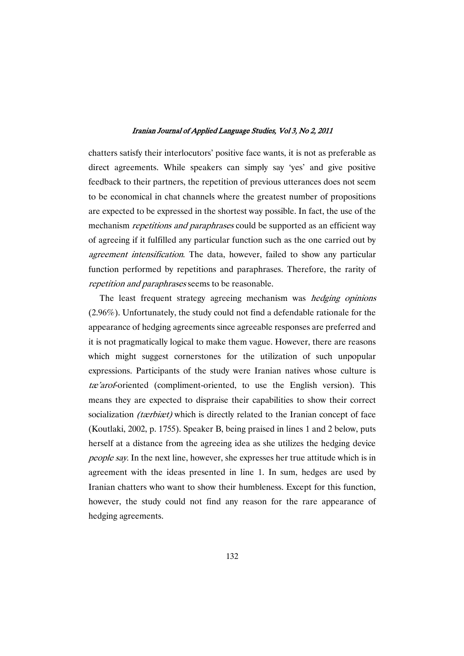chatters satisfy their interlocutors' positive face wants, it is not as preferable as direct agreements. While speakers can simply say 'yes' and give positive feedback to their partners, the repetition of previous utterances does not seem to be economical in chat channels where the greatest number of propositions are expected to be expressed in the shortest way possible. In fact, the use of the mechanism *repetitions and paraphrases* could be supported as an efficient way of agreeing if it fulfilled any particular function such as the one carried out by agreement intensification. The data, however, failed to show any particular function performed by repetitions and paraphrases. Therefore, the rarity of repetition and paraphrases seems to be reasonable.

The least frequent strategy agreeing mechanism was *hedging opinions* (2.96%). Unfortunately, the study could not find a defendable rationale for the appearance of hedging agreements since agreeable responses are preferred and it is not pragmatically logical to make them vague. However, there are reasons which might suggest cornerstones for the utilization of such unpopular expressions. Participants of the study were Iranian natives whose culture is tæ'arof-oriented (compliment-oriented, to use the English version). This means they are expected to dispraise their capabilities to show their correct socialization *(tærbiæt)* which is directly related to the Iranian concept of face (Koutlaki, 2002, p. 1755). Speaker B, being praised in lines 1 and 2 below, puts herself at a distance from the agreeing idea as she utilizes the hedging device people say. In the next line, however, she expresses her true attitude which is in agreement with the ideas presented in line 1. In sum, hedges are used by Iranian chatters who want to show their humbleness. Except for this function, however, the study could not find any reason for the rare appearance of hedging agreements.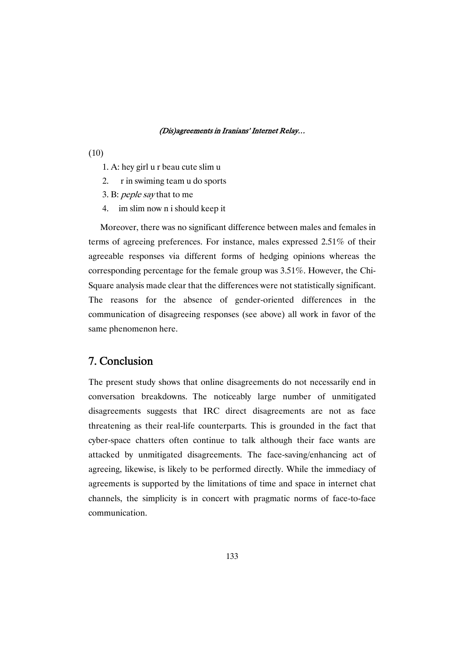- (10)
	- 1. A: hey girl u r beau cute slim u
	- 2. r in swiming team u do sports
	- 3. B: peple say that to me
	- 4. im slim now n i should keep it

Moreover, there was no significant difference between males and females in terms of agreeing preferences. For instance, males expressed 2.51% of their agreeable responses via different forms of hedging opinions whereas the corresponding percentage for the female group was 3.51%. However, the Chi-Square analysis made clear that the differences were not statistically significant. The reasons for the absence of gender-oriented differences in the communication of disagreeing responses (see above) all work in favor of the same phenomenon here.

# 7.Conclusion

The present study shows that online disagreements do not necessarily end in conversation breakdowns. The noticeably large number of unmitigated disagreements suggests that IRC direct disagreements are not as face threatening as their real-life counterparts. This is grounded in the fact that cyber-space chatters often continue to talk although their face wants are attacked by unmitigated disagreements. The face-saving/enhancing act of agreeing, likewise, is likely to be performed directly. While the immediacy of agreements is supported by the limitations of time and space in internet chat channels, the simplicity is in concert with pragmatic norms of face-to-face communication.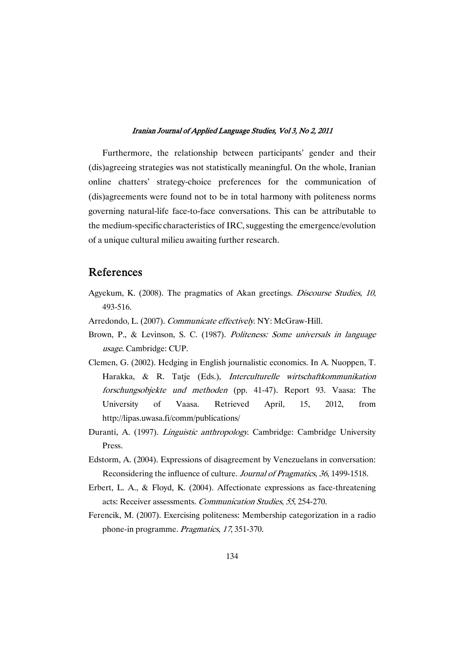Furthermore, the relationship between participants' gender and their (dis)agreeing strategies was not statistically meaningful. On the whole, Iranian online chatters' strategy-choice preferences for the communication of (dis)agreements were found not to be in total harmony with politeness norms governing natural-life face-to-face conversations. This can be attributable to the medium-specific characteristics of IRC, suggesting the emergence/evolution of a unique cultural milieu awaiting further research.

# References

- Agyekum, K. (2008). The pragmatics of Akan greetings. Discourse Studies, <sup>10</sup>, 493-516.
- Arredondo, L. (2007). Communicate effectively. NY: McGraw-Hill.
- Brown, P., & Levinson, S. C. (1987). Politeness: Some universals in language usage. Cambridge: CUP.
- Clemen, G. (2002). Hedging in English journalistic economics. In A. Nuoppen, T. Harakka, & R. Tatje (Eds.), Interculturelle wirtschaftkommunikation forschungsobjekte und methoden (pp. 41-47). Report 93. Vaasa: The University of Vaasa. Retrieved April, 15, 2012, from http://lipas.uwasa.fi/comm/publications/
- Duranti, A. (1997). Linguistic anthropology. Cambridge: Cambridge University Press.
- Edstorm, A. (2004). Expressions of disagreement by Venezuelans in conversation: Reconsidering the influence of culture. Journal of Pragmatics, <sup>36</sup>, 1499-1518.
- Erbert, L. A., & Floyd, K. (2004). Affectionate expressions as face-threatening acts: Receiver assessments. Communication Studies, <sup>55</sup>, 254-270.
- Ferencik, M. (2007). Exercising politeness: Membership categorization in a radio phone-in programme. Pragmatics, <sup>17</sup>, 351-370.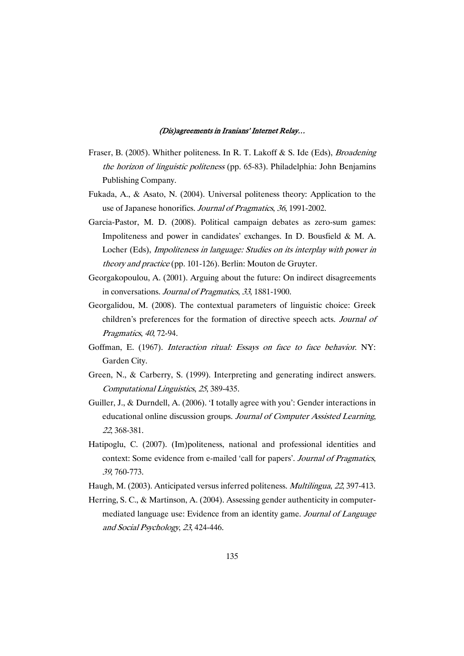- Fraser, B. (2005). Whither politeness. In R. T. Lakoff & S. Ide (Eds), *Broadening* the horizon of linguistic politeness (pp. 65-83). Philadelphia: John Benjamins Publishing Company.
- Fukada, A., & Asato, N. (2004). Universal politeness theory: Application to the use of Japanese honorifics. Journal of Pragmatics, <sup>36</sup>, 1991-2002.
- Garcia-Pastor, M. D. (2008). Political campaign debates as zero-sum games: Impoliteness and power in candidates' exchanges. In D. Bousfield & M. A. Locher (Eds), Impoliteness in language: Studies on its interplay with power in theory and practice (pp. 101-126). Berlin: Mouton de Gruyter.
- Georgakopoulou, A. (2001). Arguing about the future: On indirect disagreements in conversations. Journal of Pragmatics, <sup>33</sup>, 1881-1900.
- Georgalidou, M. (2008). The contextual parameters of linguistic choice: Greek children's preferences for the formation of directive speech acts. Journal of Pragmatics, <sup>40</sup>, 72-94.
- Goffman, E. (1967). *Interaction ritual: Essays on face to face behavior*. NY: Garden City.
- Green, N., & Carberry, S. (1999). Interpreting and generating indirect answers. Computational Linguistics, <sup>25</sup>, 389-435.
- Guiller, J., & Durndell, A. (2006). 'I totally agree with you': Gender interactions in educational online discussion groups. Journal of Computer Assisted Learning, <sup>22</sup>, 368-381.
- Hatipoglu, C. (2007). (Im)politeness, national and professional identities and context: Some evidence from e-mailed 'call for papers'. Journal of Pragmatics, <sup>39</sup>, 760-773.
- Haugh, M. (2003). Anticipated versus inferred politeness. Multilingua, <sup>22</sup>, 397-413.
- Herring, S. C., & Martinson, A. (2004). Assessing gender authenticity in computermediated language use: Evidence from an identity game. Journal of Language and Social Psychology, <sup>23</sup>, 424-446.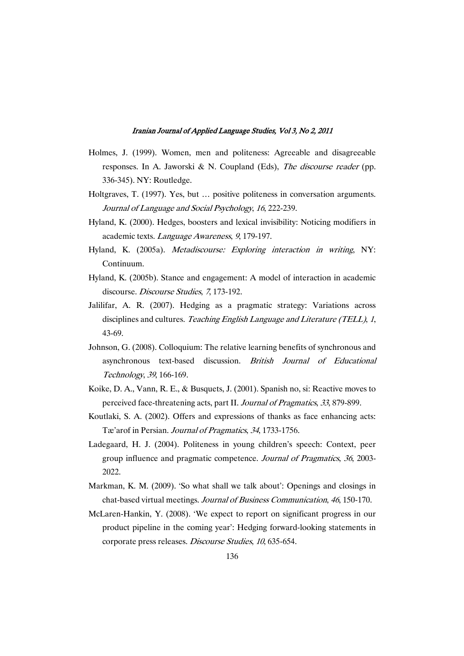- Holmes, J. (1999). Women, men and politeness: Agreeable and disagreeable responses. In A. Jaworski & N. Coupland (Eds), *The discourse reader* (pp. 336-345). NY: Routledge.
- Holtgraves, T. (1997). Yes, but … positive politeness in conversation arguments. Journal of Language and Social Psychology, <sup>16</sup>, 222-239.
- Hyland, K. (2000). Hedges, boosters and lexical invisibility: Noticing modifiers in academic texts. Language Awareness, <sup>9</sup>, 179-197.
- Hyland, K. (2005a). Metadiscourse: Exploring interaction in writing, NY: Continuum.
- Hyland, K. (2005b). Stance and engagement: A model of interaction in academic discourse. Discourse Studies, <sup>7</sup>, 173-192.
- Jalilifar, A. R. (2007). Hedging as a pragmatic strategy: Variations across disciplines and cultures. Teaching English Language and Literature (TELL), 1, 43-69.
- Johnson, G. (2008). Colloquium: The relative learning benefits of synchronous and asynchronous text-based discussion. British Journal of Educational Technology, <sup>39</sup>, 166-169.
- Koike, D. A., Vann, R. E., & Busquets, J. (2001). Spanish no, si: Reactive moves to perceived face-threatening acts, part II. Journal of Pragmatics, <sup>33</sup>, 879-899.
- Koutlaki, S. A. (2002). Offers and expressions of thanks as face enhancing acts: Tæ'arof in Persian. Journal of Pragmatics, <sup>34</sup>, 1733-1756.
- Ladegaard, H. J. (2004). Politeness in young children's speech: Context, peer group influence and pragmatic competence. Journal of Pragmatics, <sup>36</sup>, 2003- 2022.
- Markman, K. M. (2009). 'So what shall we talk about': Openings and closings in chat-based virtual meetings. Journal of Business Communication, <sup>46</sup>, 150-170.
- McLaren-Hankin, Y. (2008). 'We expect to report on significant progress in our product pipeline in the coming year': Hedging forward-looking statements in corporate press releases. Discourse Studies, <sup>10</sup>, 635-654.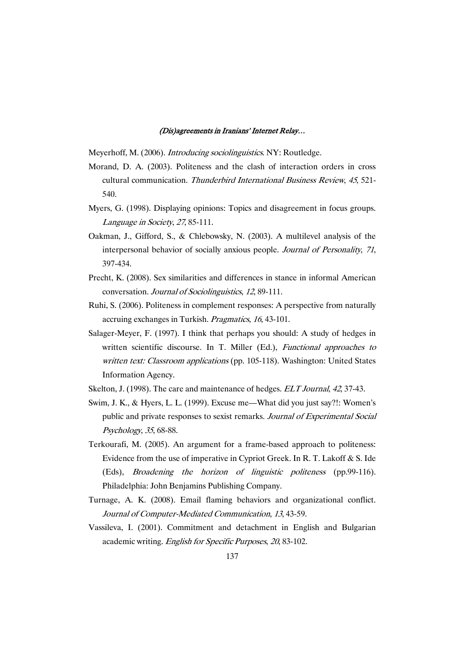Meyerhoff, M. (2006). Introducing sociolinguistics. NY: Routledge.

- Morand, D. A. (2003). Politeness and the clash of interaction orders in cross cultural communication. Thunderbird International Business Review, <sup>45</sup>, 521- 540.
- Myers, G. (1998). Displaying opinions: Topics and disagreement in focus groups. Language in Society, <sup>27</sup>, 85-111.
- Oakman, J., Gifford, S., & Chlebowsky, N. (2003). A multilevel analysis of the interpersonal behavior of socially anxious people. Journal of Personality, <sup>71</sup>, 397-434.
- Precht, K. (2008). Sex similarities and differences in stance in informal American conversation. Journal of Sociolinguistics, <sup>12</sup>, 89-111.
- Ruhi, S. (2006). Politeness in complement responses: A perspective from naturally accruing exchanges in Turkish. Pragmatics, <sup>16</sup>, 43-101.
- Salager-Meyer, F. (1997). I think that perhaps you should: A study of hedges in written scientific discourse. In T. Miller (Ed.), Functional approaches to written text: Classroom applications (pp. 105-118). Washington: United States Information Agency.
- Skelton, J. (1998). The care and maintenance of hedges. *ELT Journal*, 42, 37-43.
- Swim, J. K., & Hyers, L. L. (1999). Excuse me—What did you just say?!: Women's public and private responses to sexist remarks. Journal of Experimental Social Psychology, <sup>35</sup>, 68-88.
- Terkourafi, M. (2005). An argument for a frame-based approach to politeness: Evidence from the use of imperative in Cypriot Greek. In R. T. Lakoff & S. Ide (Eds), Broadening the horizon of linguistic politeness (pp.99-116). Philadelphia: John Benjamins Publishing Company.
- Turnage, A. K. (2008). Email flaming behaviors and organizational conflict. Journal of Computer-Mediated Communication, <sup>13</sup>, 43-59.
- Vassileva, I. (2001). Commitment and detachment in English and Bulgarian academic writing. English for Specific Purposes, <sup>20</sup>, 83-102.